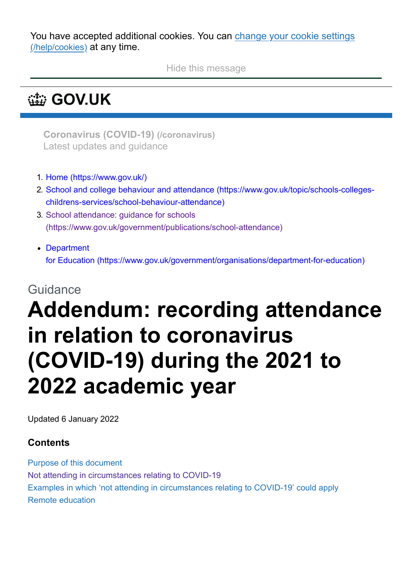You have accepted additional cookies. You can change your cookie settings [\(/help/cookies\)](https://www.gov.uk/help/cookies) at any time.

Hide this message

# **[GOV.UK](https://www.gov.uk/)**

**[Coronavirus](https://www.gov.uk/coronavirus) (COVID-19) (/coronavirus)** Latest updates and guidance

- 1. [Home \(https://www.gov.uk/\)](https://www.gov.uk/)
- 2. [School and college behaviour and attendance \(https://www.gov.uk/topic/schools-colleges](https://www.gov.uk/topic/schools-colleges-childrens-services/school-behaviour-attendance)childrens-services/school-behaviour-attendance)
- 3. School attendance: guidance for schools [\(https://www.gov.uk/government/publications/school-attendance\)](https://www.gov.uk/government/publications/school-attendance)
- Department for Education [\(https://www.gov.uk/government/organisations/department-for-education\)](https://www.gov.uk/government/organisations/department-for-education)

### Guidance

# **Addendum: recording attendance in relation to coronavirus (COVID-19) during the 2021 to 2022 academic year**

Updated 6 January 2022

#### **Contents**

Purpose of this document Not attending in circumstances relating to COVID-19 Examples in which 'not attending in circumstances relating to COVID-19' could apply Remote education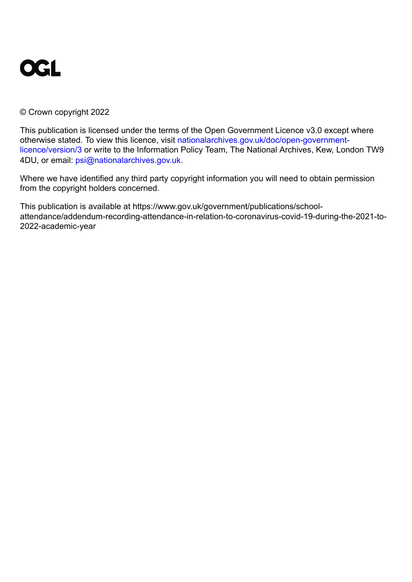

#### © Crown copyright 2022

This publication is licensed under the terms of the Open Government Licence v3.0 except where [otherwise stated. To view this licence, visit nationalarchives.gov.uk/doc/open-government](https://www.nationalarchives.gov.uk/doc/open-government-licence/version/3)licence/version/3 or write to the Information Policy Team, The National Archives, Kew, London TW9 4DU, or email: [psi@nationalarchives.gov.uk](mailto:psi@nationalarchives.gov.uk).

Where we have identified any third party copyright information you will need to obtain permission from the copyright holders concerned.

This publication is available at https://www.gov.uk/government/publications/schoolattendance/addendum-recording-attendance-in-relation-to-coronavirus-covid-19-during-the-2021-to-2022-academic-year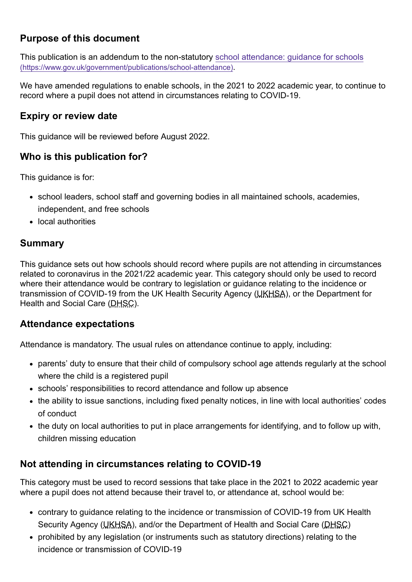#### **Purpose of this document**

[This publication is an addendum to the non-statutory school attendance: guidance for schools](https://www.gov.uk/government/publications/school-attendance) (https://www.gov.uk/government/publications/school-attendance).

We have amended regulations to enable schools, in the 2021 to 2022 academic year, to continue to record where a pupil does not attend in circumstances relating to COVID-19.

#### **Expiry or review date**

This guidance will be reviewed before August 2022.

#### **Who is this publication for?**

This guidance is for:

- school leaders, school staff and governing bodies in all maintained schools, academies, independent, and free schools
- local authorities

#### **Summary**

This guidance sets out how schools should record where pupils are not attending in circumstances related to coronavirus in the 2021/22 academic year. This category should only be used to record where their attendance would be contrary to legislation or guidance relating to the incidence or transmission of COVID-19 from the UK Health Security Agency (UKHSA), or the Department for Health and Social Care (DHSC).

#### **Attendance expectations**

Attendance is mandatory. The usual rules on attendance continue to apply, including:

- parents' duty to ensure that their child of compulsory school age attends regularly at the school where the child is a registered pupil
- schools' responsibilities to record attendance and follow up absence
- the ability to issue sanctions, including fixed penalty notices, in line with local authorities' codes of conduct
- the duty on local authorities to put in place arrangements for identifying, and to follow up with, children missing education

#### **Not attending in circumstances relating to COVID-19**

This category must be used to record sessions that take place in the 2021 to 2022 academic year where a pupil does not attend because their travel to, or attendance at, school would be:

- contrary to guidance relating to the incidence or transmission of COVID-19 from UK Health Security Agency (UKHSA), and/or the Department of Health and Social Care (DHSC)
- prohibited by any legislation (or instruments such as statutory directions) relating to the incidence or transmission of COVID-19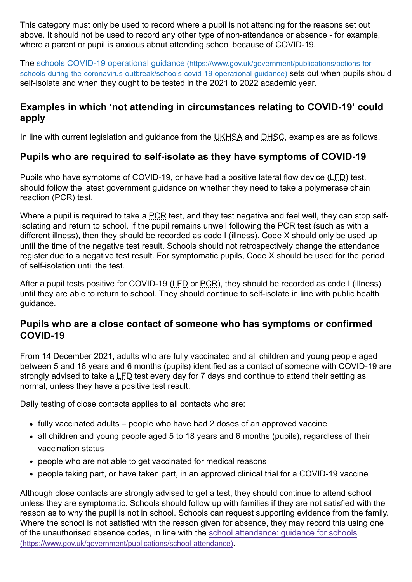This category must only be used to record where a pupil is not attending for the reasons set out above. It should not be used to record any other type of non-attendance or absence - for example, where a parent or pupil is anxious about attending school because of COVID-19.

The schools COVID-19 operational guidance (https://www.gov.uk/government/publications/actions-for[schools-during-the-coronavirus-outbreak/schools-covid-19-operational-guidance\)](https://www.gov.uk/government/publications/actions-for-schools-during-the-coronavirus-outbreak/schools-covid-19-operational-guidance) sets out when pupils should self-isolate and when they ought to be tested in the 2021 to 2022 academic year.

#### **Examples in which 'not attending in circumstances relating to COVID-19' could apply**

In line with current legislation and guidance from the UKHSA and DHSC, examples are as follows.

#### **Pupils who are required to self-isolate as they have symptoms of COVID-19**

Pupils who have symptoms of COVID-19, or have had a positive lateral flow device (LFD) test, should follow the latest government guidance on whether they need to take a polymerase chain reaction (PCR) test.

Where a pupil is required to take a PCR test, and they test negative and feel well, they can stop selfisolating and return to school. If the pupil remains unwell following the PCR test (such as with a different illness), then they should be recorded as code I (illness). Code X should only be used up until the time of the negative test result. Schools should not retrospectively change the attendance register due to a negative test result. For symptomatic pupils, Code X should be used for the period of self-isolation until the test.

After a pupil tests positive for COVID-19 (LED or PCR), they should be recorded as code I (illness) until they are able to return to school. They should continue to self-isolate in line with public health guidance.

#### **Pupils who are a close contact of someone who has symptoms or confirmed COVID-19**

From 14 December 2021, adults who are fully vaccinated and all children and young people aged between 5 and 18 years and 6 months (pupils) identified as a contact of someone with COVID-19 are strongly advised to take a LFD test every day for 7 days and continue to attend their setting as normal, unless they have a positive test result.

Daily testing of close contacts applies to all contacts who are:

- fully vaccinated adults people who have had 2 doses of an approved vaccine
- all children and young people aged 5 to 18 years and 6 months (pupils), regardless of their vaccination status
- people who are not able to get vaccinated for medical reasons
- people taking part, or have taken part, in an approved clinical trial for a COVID-19 vaccine

Although close contacts are strongly advised to get a test, they should continue to attend school unless they are symptomatic. Schools should follow up with families if they are not satisfied with the reason as to why the pupil is not in school. Schools can request supporting evidence from the family. Where the school is not satisfied with the reason given for absence, they may record this using one [of the unauthorised absence codes, in line with the school attendance: guidance for schools](https://www.gov.uk/government/publications/school-attendance) (https://www.gov.uk/government/publications/school-attendance).